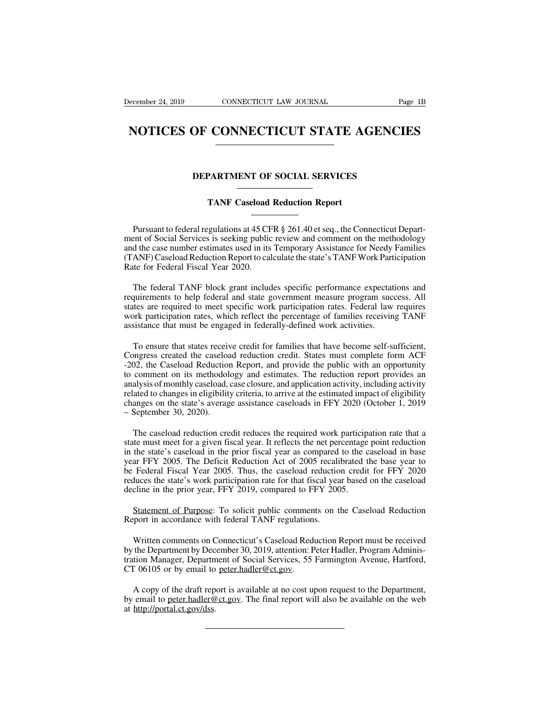## **ECEMBER 24, 2019** CONNECTICUT LAW JOURNAL Page 1B<br> **NOTICES OF CONNECTICUT STATE AGENCIES NOTICES OF CONNECTICUT STATE AGENCIES**<br>
DEPARTMENT OF SOCIAL SERVICES<br>
TANF Caseload Reduction Report

## **PARTMENT OF SOCIAL SERVICES**<br> **TANF Caseload Reduction Report**

DEPARTMENT OF SOCIAL SERVICES<br>
TANF Caseload Reduction Report<br>
Pursuant to federal regulations at 45 CFR § 261.40 et seq., the Connecticut Depart-<br>
ent of Social Services is seeking public review and comment on the methodo **DEPARTMENT OF SOCIAL SERVICES**<br>
TANF Caseload Reduction Report<br>
Pursuant to federal regulations at 45 CFR § 261.40 et seq., the Connecticut Depart-<br>
ment of Social Services is seeking public review and comment on the meth TANF Caseload Reduction Report<br>
Pursuant to federal regulations at 45 CFR § 261.40 et seq., the Connecticut Depart-<br>
ment of Social Services is seeking public review and comment on the methodology<br>
and the case number esti TANF Caseload Reduction Report<br>
TRANF Caseload Reduction Report<br>
The state of Social Services is seeking public review and comment on the methodology<br>
and the case number estimates used in its Temporary Assistance for Need **TANF Caseload**<br>
Tank Caseload<br>
Pursuant to federal regulations at 45 CF<br>
ment of Social Services is seeking public<br>
and the case number estimates used in its<br>
(TANF) Caseload Reduction Report to cal<br>
Rate for Federal Fisc Pursuant to federal regulations at 45 CFR § 261.40 et seq., the Connecticut Depart-<br>ent of Social Services is seeking public review and comment on the methodology<br>d the case number estimates used in its Temporary Assistanc ment of Social Services is seeking public review and comment on the methodology<br>and the case number estimates used in its Temporary Assistance for Needy Families<br>(TANF) Caseload Reduction Report to calculate the state's TA

and the case number estimates used in its Temporary Assistance for Needy Families (TANF) Caseload Reduction Report to calculate the state's TANF Work Participation Rate for Federal Fiscal Year 2020.<br>The federal TANF block (TANF) Caseload Reduction Report to calculate the state's TANF Work Participation<br>Rate for Federal Fiscal Year 2020.<br>The federal TANF block grant includes specific performance expectations and<br>requirements to help federal The federal Fiscal Year 2020.<br>The federal TANF block grant includes specific performance expectative<br>quirements to help federal and state government measure program succes<br>states are required to meet specific work particip The federal TANF block grant includes specific performance expectations and quirements to help federal and state government measure program success. All thes are required to meet specific work participation rates. Federal requirements to help federal and state government measure program success. All<br>states are required to meet specific work participation rates. Federal law requires<br>work participation rates, which reflect the percentage of f

Extates are required to meet specific work participation rates. Federal law requires work participation rates, which reflect the percentage of families receiving TANF assistance that must be engaged in federally-defined wo station and the percent of the percentage of families receiving TANF assistance that must be engaged in federally-defined work activities.<br>To ensure that states receive credit for families that have become self-sufficient, France, and percentage of number coeding 1114 assistance that must be engaged in federally-defined work activities.<br>To ensure that states receive credit for families that have become self-sufficient, Congress created the c To ensure that states receive credit for families that have become self-sufficient,<br>Congress created the caseload reduction credit. States must complete form ACF-<br>202, the Caseload Reduction Report, and provide the public To ensure that states receive credit for families that have become self-sufficient,<br>Congress created the caseload reduction credit. States must complete form ACF-202, the Caseload Reduction Report, and provide the public w Fo chisate that states received<br>Congress created the caseloa<br>-202, the Caseload Reduction<br>to comment on its methodol<br>analysis of monthly caseload,<br>related to changes in eligibility<br>changes on the state's average-<br>September From the comment on its methodology and estimates. The reduction report provides an alysis of monthly caseload, case closure, and application activity, including activity ated to changes in eligibility criteria, to arrive analysis of monthly caseload, case closure, and application activity, including activity<br>related to changes in eligibility criteria, to arrive at the estimated impact of eligibility<br>changes on the state's average assistanc

in the state is example in the state's average assistance caseloads in FFY 2020 (October 1, 2019 – September 30, 2020).<br>
The caseload reduction credit reduces the required work participation rate that a state must meet for France of the state's average assistance caseloads in FFY 2020 (October 1, 2019<br>
- September 30, 2020).<br>
The caseload reduction credit reduces the required work participation rate that a<br>
state must meet for a given fiscal be Federal Fiscal Year 2005. Thus, the caseload reduction rate that a state must meet for a given fiscal year. It reflects the net percentage point reduction in the state's caseload in the prior fiscal year as compared to The caseload reduction credit reduces the required work participation rate that a state must meet for a given fiscal year. It reflects the net percentage point reduction in the state's caseload in the prior fiscal year as The caseload reduction credit reduces the required work particip<br>state must meet for a given fiscal year. It reflects the net percentage<br>in the state's caseload in the prior fiscal year as compared to the c<br>year FFY 2005. the state's caseload in the prior fiscal year as compared to the caseload in base<br>ar FFY 2005. The Deficit Reduction Act of 2005 recalibrated the base year to<br>Federal Fiscal Year 2005. Thus, the caseload reduction credit f wear FFY 2005. The Deficit Reduction Act of 2005 recalible Federal Fiscal Year 2005. Thus, the caseload reduction reduces the state's work participation rate for that fiscal yeadecline in the prior year, FFY 2019, compared

Frances the state's work participation rate for that fiscal year based on the caseload<br>cline in the prior year, FFY 2019, compared to FFY 2005.<br>Statement of Purpose: To solicit public comments on the Caseload Reduction<br>por decline in the prior year, FFY 2019, compared to FFY 2005.<br>
Statement of Purpose: To solicit public comments on the Caseload Reduction<br>
Report in accordance with federal TANF regulations.<br>
Written comments on Connecticut's Statement of Purpose: To solicit public comments on the Caseload Reduction<br>Report in accordance with federal TANF regulations.<br>Written comments on Connecticut's Caseload Reduction Report must be received<br>by the Department Statement of Purpose: To solicit public commen<br>Report in accordance with federal TANF regulation<br>Written comments on Connecticut's Caseload Red<br>by the Department by December 30, 2019, attention: F<br>tration Manager, Departme Written comments on Connecticut's Caseload Reduction Report must be received<br>the Department by December 30, 2019, attention: Peter Hadler, Program Adminis-<br>tion Manager, Department of Social Services, 55 Farmington Avenue, Written comments on Connecticut's Caseload Reduction Report must be received<br>by the Department by December 30, 2019, attention: Peter Hadler, Program Adminis-<br>tration Manager, Department of Social Services, 55 Farmington A by the Department by Dec<br>tration Manager, Departm<br>CT 06105 or by email to<br>A copy of the draft rep<br>by email to <u>peter.hadler@</u><br>at <u>http://portal.ct.gov/dss</u>.